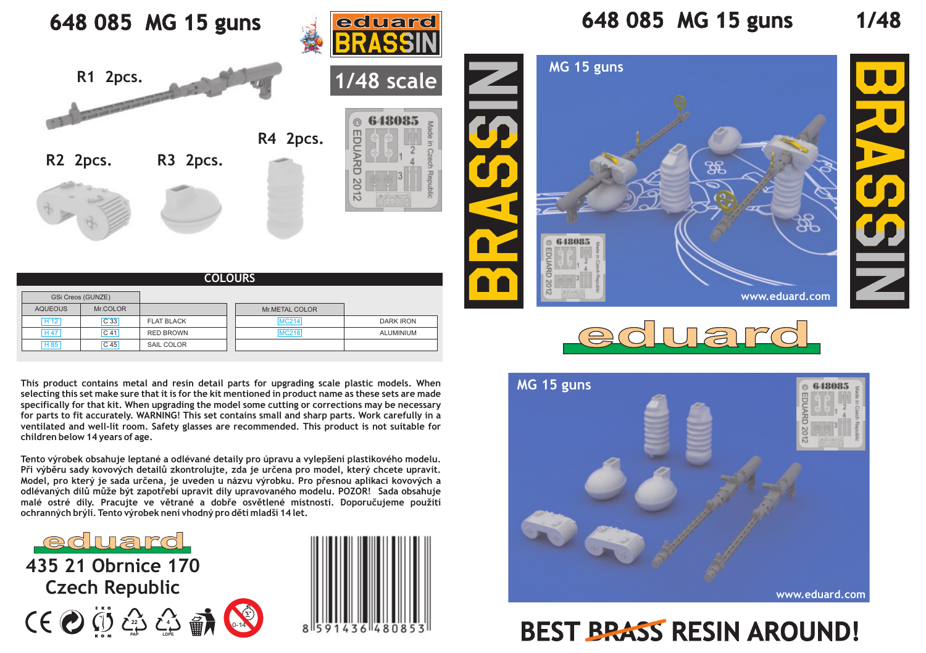## **648 085 MG 15 guns** eduard **R1 2pcs. 1/48 scale** 648085 **R4 2pcs.** EDUARD **R2 2pcs. R3 2pcs.** 2012

| <b>COLOURS</b>    |                 |                   |  |                |                  |
|-------------------|-----------------|-------------------|--|----------------|------------------|
| GSi Creos (GUNZE) |                 |                   |  |                |                  |
| <b>AQUEOUS</b>    | Mr.COLOR        |                   |  | Mr.METAL COLOR |                  |
| H12               | C <sub>33</sub> | <b>FLAT BLACK</b> |  | <b>MC214</b>   | <b>DARK IRON</b> |
| <b>H47</b>        | C <sub>41</sub> | <b>RED BROWN</b>  |  | <b>MC218</b>   | ALUMINIUM        |
| H 85              | C <sub>45</sub> | SAIL COLOR        |  |                |                  |

**This product contains metal and resin detail parts for upgrading scale plastic models. When selecting this set make sure that it is for the kit mentioned in product name as these sets are made specifically for that kit. When upgrading the model some cutting or corrections may be necessary for parts to fit accurately. WARNING! This set contains small and sharp parts. Work carefully in a ventilated and well-lit room. Safety glasses are recommended. This product is not suitable for children below 14 years of age.**

**Tento výrobek obsahuje leptané a odlévané detaily pro úpravu a vylepšení plastikového modelu.**  Při výběru sady kovových detailů zkontrolujte, zda je určena pro model, který chcete upravit. Model, pro který je sada určena, je uveden u názvu výrobku. Pro přesnou aplikaci kovových a odlévaných dílů může být zapotřebí upravit díly upravovaného modelu. POZOR! Sada obsahuje malé ostré díly. Pracujte ve větrané a dobře osvětlené místnosti. Doporučujeme použití ochranných brýlí. Tento výrobek není vhodný pro děti mladší 14 let.

eduard **435 21 Obrnice 170 Czech Republic**





## **648 085 MG 15 guns 1/48**